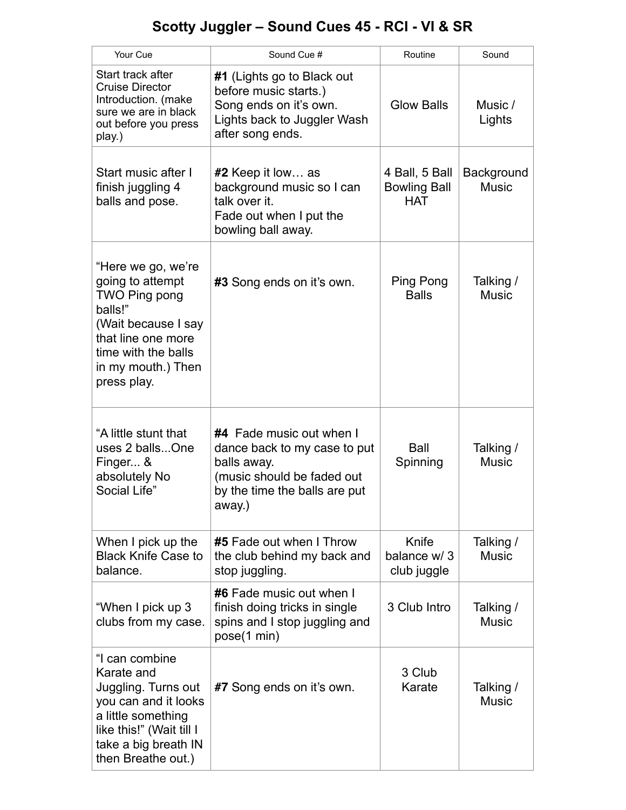## **Scotty Juggler – Sound Cues 45 - RCI - VI & SR**

| Your Cue                                                                                                                                                                    | Sound Cue #                                                                                                                                      | Routine                                             | Sound                             |
|-----------------------------------------------------------------------------------------------------------------------------------------------------------------------------|--------------------------------------------------------------------------------------------------------------------------------------------------|-----------------------------------------------------|-----------------------------------|
| Start track after<br><b>Cruise Director</b><br>Introduction. (make<br>sure we are in black<br>out before you press<br>play.)                                                | #1 (Lights go to Black out<br>before music starts.)<br>Song ends on it's own.<br>Lights back to Juggler Wash<br>after song ends.                 | <b>Glow Balls</b>                                   | Music /<br>Lights                 |
| Start music after I<br>finish juggling 4<br>balls and pose.                                                                                                                 | #2 Keep it low as<br>background music so I can<br>talk over it.<br>Fade out when I put the<br>bowling ball away.                                 | 4 Ball, 5 Ball<br><b>Bowling Ball</b><br><b>HAT</b> | <b>Background</b><br><b>Music</b> |
| "Here we go, we're<br>going to attempt<br>TWO Ping pong<br>balls!"<br>(Wait because I say<br>that line one more<br>time with the balls<br>in my mouth.) Then<br>press play. | #3 Song ends on it's own.                                                                                                                        | Ping Pong<br><b>Balls</b>                           | Talking /<br><b>Music</b>         |
| "A little stunt that<br>uses 2 ballsOne<br>Finger &<br>absolutely No<br>Social Life"                                                                                        | #4 Fade music out when I<br>dance back to my case to put<br>balls away.<br>(music should be faded out<br>by the time the balls are put<br>away.) | <b>Ball</b><br>Spinning                             | Talking /<br><b>Music</b>         |
| When I pick up the<br><b>Black Knife Case to</b><br>balance.                                                                                                                | #5 Fade out when I Throw<br>the club behind my back and<br>stop juggling.                                                                        | Knife<br>balance w/3<br>club juggle                 | Talking /<br><b>Music</b>         |
| "When I pick up 3<br>clubs from my case.                                                                                                                                    | #6 Fade music out when I<br>finish doing tricks in single<br>spins and I stop juggling and<br>pose(1 min)                                        | 3 Club Intro                                        | Talking /<br><b>Music</b>         |
| "I can combine<br>Karate and<br>Juggling. Turns out<br>you can and it looks<br>a little something<br>like this!" (Wait till I<br>take a big breath IN<br>then Breathe out.) | #7 Song ends on it's own.                                                                                                                        | 3 Club<br>Karate                                    | Talking /<br><b>Music</b>         |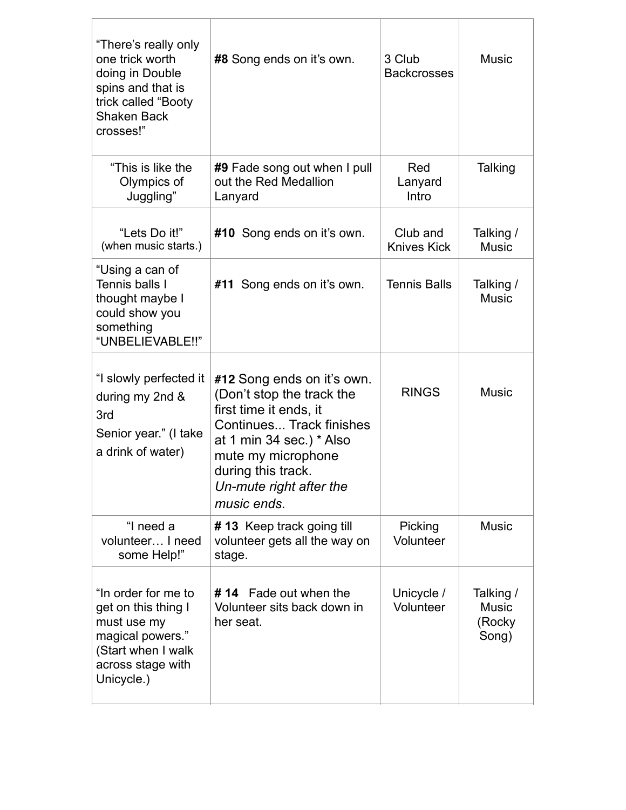| "There's really only<br>one trick worth<br>doing in Double<br>spins and that is<br>trick called "Booty<br><b>Shaken Back</b><br>crosses!" | #8 Song ends on it's own.                                                                                                                                                                                                       | 3 Club<br><b>Backcrosses</b>   | <b>Music</b>                                 |
|-------------------------------------------------------------------------------------------------------------------------------------------|---------------------------------------------------------------------------------------------------------------------------------------------------------------------------------------------------------------------------------|--------------------------------|----------------------------------------------|
| "This is like the<br>Olympics of<br>Juggling"                                                                                             | #9 Fade song out when I pull<br>out the Red Medallion<br>Lanyard                                                                                                                                                                | Red<br>Lanyard<br>Intro        | Talking                                      |
| "Lets Do it!"<br>(when music starts.)                                                                                                     | #10 Song ends on it's own.                                                                                                                                                                                                      | Club and<br><b>Knives Kick</b> | Talking /<br><b>Music</b>                    |
| "Using a can of<br>Tennis balls I<br>thought maybe I<br>could show you<br>something<br>"UNBELIEVABLE!!"                                   | #11 Song ends on it's own.                                                                                                                                                                                                      | <b>Tennis Balls</b>            | Talking /<br><b>Music</b>                    |
| "I slowly perfected it<br>during my 2nd &<br>3rd<br>Senior year." (I take<br>a drink of water)                                            | #12 Song ends on it's own.<br>(Don't stop the track the<br>first time it ends, it<br>Continues Track finishes<br>at 1 min 34 sec.) * Also<br>mute my microphone<br>during this track.<br>Un-mute right after the<br>music ends. | <b>RINGS</b>                   | <b>Music</b>                                 |
| "I need a<br>volunteer I need<br>some Help!"                                                                                              | #13 Keep track going till<br>volunteer gets all the way on<br>stage.                                                                                                                                                            | Picking<br>Volunteer           | <b>Music</b>                                 |
| "In order for me to<br>get on this thing I<br>must use my<br>magical powers."<br>(Start when I walk<br>across stage with<br>Unicycle.)    | Fade out when the<br># 14<br>Volunteer sits back down in<br>her seat.                                                                                                                                                           | Unicycle /<br>Volunteer        | Talking /<br><b>Music</b><br>(Rocky<br>Song) |